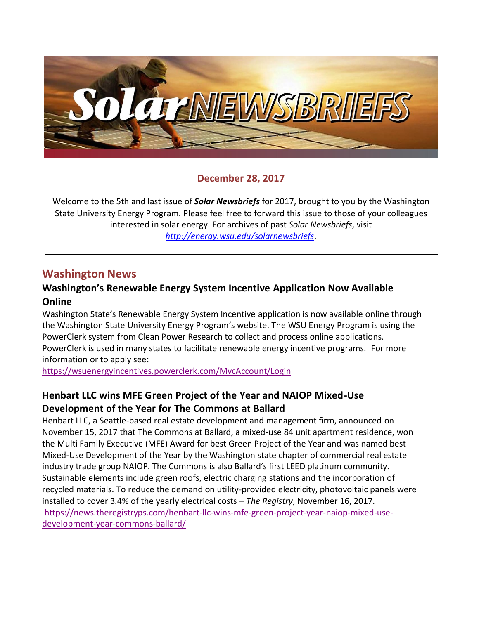

#### **December 28, 2017**

Welcome to the 5th and last issue of *Solar Newsbriefs* for 2017, brought to you by the Washington State University Energy Program. Please feel free to forward this issue to those of your colleagues interested in solar energy. For archives of past *Solar Newsbriefs*, visit *<http://energy.wsu.edu/solarnewsbriefs>*.

### **Washington News**

#### **Washington's Renewable Energy System Incentive Application Now Available Online**

Washington State's Renewable Energy System Incentive application is now available online through the Washington State University Energy Program's website. The WSU Energy Program is using the PowerClerk system from Clean Power Research to collect and process online applications. PowerClerk is used in many states to facilitate renewable energy incentive programs. For more information or to apply see:

<https://wsuenergyincentives.powerclerk.com/MvcAccount/Login>

### **Henbart LLC wins MFE Green Project of the Year and NAIOP Mixed-Use Development of the Year for The Commons at Ballard**

Henbart LLC, a Seattle-based real estate development and management firm, announced on November 15, 2017 that The Commons at Ballard, a mixed-use 84 unit apartment residence, won the Multi Family Executive (MFE) Award for best Green Project of the Year and was named best Mixed-Use Development of the Year by the Washington state chapter of commercial real estate industry trade group NAIOP. The Commons is also Ballard's first LEED platinum community. Sustainable elements include green roofs, electric charging stations and the incorporation of recycled materials. To reduce the demand on utility-provided electricity, photovoltaic panels were installed to cover 3.4% of the yearly electrical costs – *The Registry*, November 16, 2017. [https://news.theregistryps.com/henbart-llc-wins-mfe-green-project-year-naiop-mixed-use](https://news.theregistryps.com/henbart-llc-wins-mfe-green-project-year-naiop-mixed-use-development-year-commons-ballard/)[development-year-commons-ballard/](https://news.theregistryps.com/henbart-llc-wins-mfe-green-project-year-naiop-mixed-use-development-year-commons-ballard/)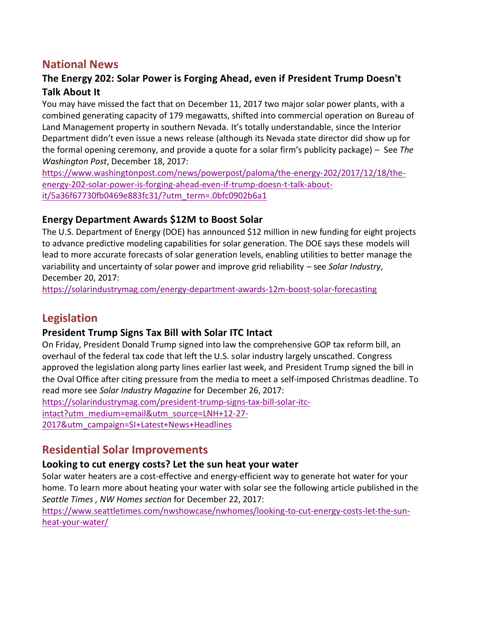# **National News**

### **The Energy 202: Solar Power is Forging Ahead, even if President Trump Doesn't Talk About It**

You may have missed the fact that on December 11, 2017 two major solar power plants, with a combined generating capacity of 179 megawatts, [shifted into commercial operation](https://www.edf-re.com/commissioning-event-celebrates-operation-179-megawatt-switch-station-1-switch-station-2-solar-projects-apex-nevada/) on Bureau of Land Management property in southern Nevada. It's totally understandable, since the Interior Department didn't even issue a news release (although its Nevada state director did show up for the formal opening ceremony, and provide a quote for a solar firm's publicity package) – See *The Washington Post*, December 18, 2017:

[https://www.washingtonpost.com/news/powerpost/paloma/the-energy-202/2017/12/18/the](https://www.washingtonpost.com/news/powerpost/paloma/the-energy-202/2017/12/18/the-energy-202-solar-power-is-forging-ahead-even-if-trump-doesn-t-talk-about-it/5a36f67730fb0469e883fc31/?utm_term=.0bfc0902b6a1)[energy-202-solar-power-is-forging-ahead-even-if-trump-doesn-t-talk-about](https://www.washingtonpost.com/news/powerpost/paloma/the-energy-202/2017/12/18/the-energy-202-solar-power-is-forging-ahead-even-if-trump-doesn-t-talk-about-it/5a36f67730fb0469e883fc31/?utm_term=.0bfc0902b6a1)[it/5a36f67730fb0469e883fc31/?utm\\_term=.0bfc0902b6a1](https://www.washingtonpost.com/news/powerpost/paloma/the-energy-202/2017/12/18/the-energy-202-solar-power-is-forging-ahead-even-if-trump-doesn-t-talk-about-it/5a36f67730fb0469e883fc31/?utm_term=.0bfc0902b6a1)

#### **Energy Department Awards \$12M to Boost Solar**

The U.S. Department of Energy (DOE) has [announced](https://energy.gov/articles/department-energy-announces-12-million-advance-early-stage-solar-research) \$12 million in new funding for eight projects to advance predictive modeling capabilities for solar generation. The DOE says these models will lead to more accurate forecasts of solar generation levels, enabling utilities to better manage the variability and uncertainty of solar power and improve grid reliability – see *Solar Industry*, December 20, 2017:

<https://solarindustrymag.com/energy-department-awards-12m-boost-solar-forecasting>

# **Legislation**

### **President Trump Signs Tax Bill with Solar ITC Intact**

On Friday, President Donald Trump [signed](https://www.whitehouse.gov/briefings-statements/remarks-president-trump-signing-h-r-1-tax-cuts-jobs-bill-act-h-r-1370/) into law the comprehensive GOP tax reform bill, an overhaul of the federal tax code that left the U.S. solar industry largely unscathed. Congress approved the legislation along party lines earlier last week, and President Trump signed the bill in the Oval Office after citing pressure from the media to meet a self-imposed Christmas deadline. To read more see *Solar Industry Magazine* for December 26, 2017:

[https://solarindustrymag.com/president-trump-signs-tax-bill-solar-itc-](https://solarindustrymag.com/president-trump-signs-tax-bill-solar-itc-intact?utm_medium=email&utm_source=LNH+12-27-2017&utm_campaign=SI+Latest+News+Headlines)

[intact?utm\\_medium=email&utm\\_source=LNH+12-27-](https://solarindustrymag.com/president-trump-signs-tax-bill-solar-itc-intact?utm_medium=email&utm_source=LNH+12-27-2017&utm_campaign=SI+Latest+News+Headlines)

[2017&utm\\_campaign=SI+Latest+News+Headlines](https://solarindustrymag.com/president-trump-signs-tax-bill-solar-itc-intact?utm_medium=email&utm_source=LNH+12-27-2017&utm_campaign=SI+Latest+News+Headlines)

## **Residential Solar Improvements**

### **Looking to cut energy costs? Let the sun heat your water**

Solar water heaters are a cost-effective and energy-efficient way to generate hot water for your home. To learn more about heating your water with solar see the following article published in the *Seattle Times , NW Homes section* for December 22, 2017:

[https://www.seattletimes.com/nwshowcase/nwhomes/looking-to-cut-energy-costs-let-the-sun](https://www.seattletimes.com/nwshowcase/nwhomes/looking-to-cut-energy-costs-let-the-sun-heat-your-water/)[heat-your-water/](https://www.seattletimes.com/nwshowcase/nwhomes/looking-to-cut-energy-costs-let-the-sun-heat-your-water/)